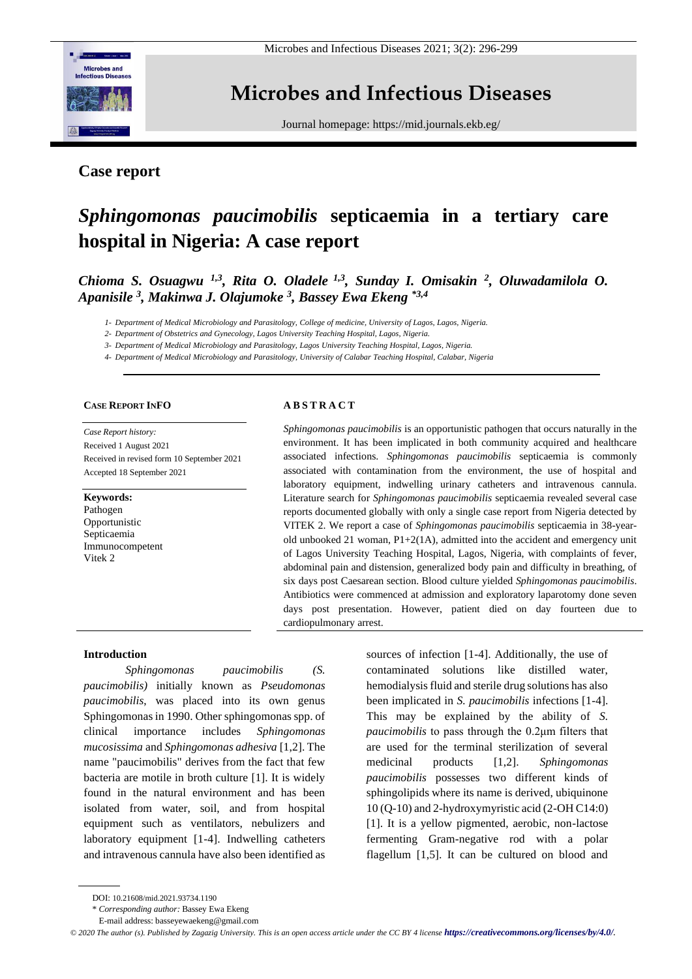

## **Microbes and Infectious Diseases**

Journal homepage[: https://mid.journals.ekb.eg/](https://mid.journals.ekb.eg/)

### **Case report**

# *Sphingomonas paucimobilis* **septicaemia in a tertiary care hospital in Nigeria: A case report**

*Chioma S. Osuagwu 1,3, Rita O. Oladele 1,3, Sunday I. Omisakin <sup>2</sup> , Oluwadamilola O. Apanisile <sup>3</sup> , Makinwa J. Olajumoke <sup>3</sup> , Bassey Ewa Ekeng \*3,4*

*1- Department of Medical Microbiology and Parasitology, College of medicine, University of Lagos, Lagos, Nigeria.*

*2- Department of Obstetrics and Gynecology, Lagos University Teaching Hospital, Lagos, Nigeria.* 

*3- Department of Medical Microbiology and Parasitology, Lagos University Teaching Hospital, Lagos, Nigeria.*

*4- Department of Medical Microbiology and Parasitology, University of Calabar Teaching Hospital, Calabar, Nigeria*

#### **CASE REPORT INFO**

*Case Report history:*  Received 1 August 2021 Received in revised form 10 September 2021 Accepted 18 September 2021

#### **Keywords:**

Pathogen Opportunistic Septicaemia Immunocompetent Vitek 2

#### **A B S T R A C T**

*Sphingomonas paucimobilis* is an opportunistic pathogen that occurs naturally in the environment. It has been implicated in both community acquired and healthcare associated infections. *Sphingomonas paucimobilis* septicaemia is commonly associated with contamination from the environment, the use of hospital and laboratory equipment, indwelling urinary catheters and intravenous cannula. Literature search for *Sphingomonas paucimobilis* septicaemia revealed several case reports documented globally with only a single case report from Nigeria detected by VITEK 2. We report a case of *Sphingomonas paucimobilis* septicaemia in 38-yearold unbooked 21 woman, P1+2(1A), admitted into the accident and emergency unit of Lagos University Teaching Hospital, Lagos, Nigeria, with complaints of fever, abdominal pain and distension, generalized body pain and difficulty in breathing, of six days post Caesarean section. Blood culture yielded *Sphingomonas paucimobilis*. Antibiotics were commenced at admission and exploratory laparotomy done seven days post presentation. However, patient died on day fourteen due to cardiopulmonary arrest.

#### **Introduction**

*Sphingomonas paucimobilis (S. paucimobilis)* initially known as *Pseudomonas paucimobilis*, was placed into its own genus Sphingomonas in 1990. Other sphingomonas spp. of clinical importance includes *Sphingomonas mucosissima* and *Sphingomonas adhesiva* [1,2]. The name "paucimobilis" derives from the fact that few bacteria are motile in broth culture [1]. It is widely found in the natural environment and has been isolated from water, soil, and from hospital equipment such as ventilators, nebulizers and laboratory equipment [1-4]. Indwelling catheters and intravenous cannula have also been identified as

sources of infection [1-4]. Additionally, the use of contaminated solutions like distilled water, hemodialysis fluid and sterile drug solutions has also been implicated in *S. paucimobilis* infections [1-4]. This may be explained by the ability of *S. paucimobilis* to pass through the 0.2μm filters that are used for the terminal sterilization of several medicinal products [1,2]. *Sphingomonas paucimobilis* possesses two different kinds of sphingolipids where its name is derived, ubiquinone 10 (Q-10) and 2-hydroxymyristic acid (2-OH C14:0) [1]. It is a yellow pigmented, aerobic, non-lactose fermenting Gram-negative rod with a polar flagellum [1,5]. It can be cultured on blood and

DOI: 10.21608/mid.2021.93734.1190

<sup>\*</sup> *Corresponding author:* Bassey Ewa Ekeng

E-mail address: basseyewaekeng@gmail.com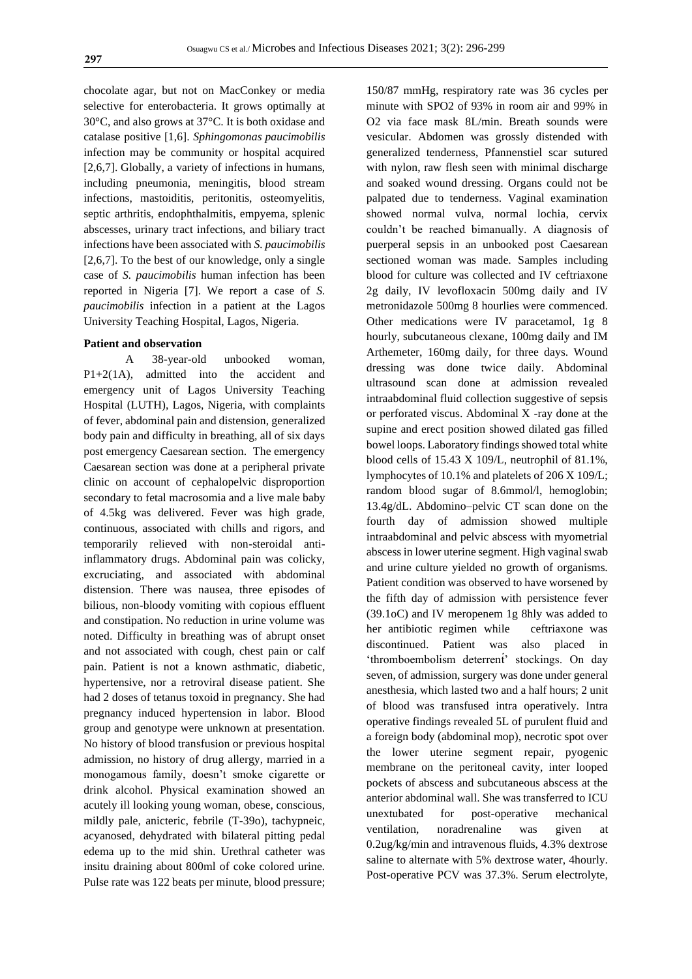chocolate agar, but not on MacConkey or media selective for enterobacteria. It grows optimally at 30°C, and also grows at 37°C. It is both oxidase and catalase positive [1,6]. *Sphingomonas paucimobilis* infection may be community or hospital acquired [2,6,7]. Globally, a variety of infections in humans, including pneumonia, meningitis, blood stream infections, mastoiditis, peritonitis, osteomyelitis, septic arthritis, endophthalmitis, empyema, splenic abscesses, urinary tract infections, and biliary tract infections have been associated with *S. paucimobilis* [2,6,7]. To the best of our knowledge, only a single case of *S. paucimobilis* human infection has been reported in Nigeria [7]. We report a case of *S. paucimobilis* infection in a patient at the Lagos University Teaching Hospital, Lagos, Nigeria.

#### **Patient and observation**

A 38-year-old unbooked woman, P1+2(1A), admitted into the accident and emergency unit of Lagos University Teaching Hospital (LUTH), Lagos, Nigeria, with complaints of fever, abdominal pain and distension, generalized body pain and difficulty in breathing, all of six days post emergency Caesarean section. The emergency Caesarean section was done at a peripheral private clinic on account of cephalopelvic disproportion secondary to fetal macrosomia and a live male baby of 4.5kg was delivered. Fever was high grade, continuous, associated with chills and rigors, and temporarily relieved with non-steroidal antiinflammatory drugs. Abdominal pain was colicky, excruciating, and associated with abdominal distension. There was nausea, three episodes of bilious, non-bloody vomiting with copious effluent and constipation. No reduction in urine volume was noted. Difficulty in breathing was of abrupt onset and not associated with cough, chest pain or calf pain. Patient is not a known asthmatic, diabetic, hypertensive, nor a retroviral disease patient. She had 2 doses of tetanus toxoid in pregnancy. She had pregnancy induced hypertension in labor. Blood group and genotype were unknown at presentation. No history of blood transfusion or previous hospital admission, no history of drug allergy, married in a monogamous family, doesn't smoke cigarette or drink alcohol. Physical examination showed an acutely ill looking young woman, obese, conscious, mildly pale, anicteric, febrile (T-39o), tachypneic, acyanosed, dehydrated with bilateral pitting pedal edema up to the mid shin. Urethral catheter was insitu draining about 800ml of coke colored urine. Pulse rate was 122 beats per minute, blood pressure;

150/87 mmHg, respiratory rate was 36 cycles per minute with SPO2 of 93% in room air and 99% in O2 via face mask 8L/min. Breath sounds were vesicular. Abdomen was grossly distended with generalized tenderness, Pfannenstiel scar sutured with nylon, raw flesh seen with minimal discharge and soaked wound dressing. Organs could not be palpated due to tenderness. Vaginal examination showed normal vulva, normal lochia, cervix couldn't be reached bimanually. A diagnosis of puerperal sepsis in an unbooked post Caesarean sectioned woman was made. Samples including blood for culture was collected and IV ceftriaxone 2g daily, IV levofloxacin 500mg daily and IV metronidazole 500mg 8 hourlies were commenced. Other medications were IV paracetamol, 1g 8 hourly, subcutaneous clexane, 100mg daily and IM Arthemeter, 160mg daily, for three days. Wound dressing was done twice daily. Abdominal ultrasound scan done at admission revealed intraabdominal fluid collection suggestive of sepsis or perforated viscus. Abdominal X -ray done at the supine and erect position showed dilated gas filled bowel loops. Laboratory findings showed total white blood cells of 15.43 X 109/L, neutrophil of 81.1%, lymphocytes of 10.1% and platelets of 206 X 109/L; random blood sugar of 8.6mmol/l, hemoglobin; 13.4g/dL. Abdomino–pelvic CT scan done on the fourth day of admission showed multiple intraabdominal and pelvic abscess with myometrial abscess in lower uterine segment. High vaginal swab and urine culture yielded no growth of organisms. Patient condition was observed to have worsened by the fifth day of admission with persistence fever (39.1oC) and IV meropenem 1g 8hly was added to her antibiotic regimen while ceftriaxone was discontinued. Patient was also placed in 'thromboembolism deterrent' stockings. On day seven, of admission, surgery was done under general anesthesia, which lasted two and a half hours; 2 unit of blood was transfused intra operatively. Intra operative findings revealed 5L of purulent fluid and a foreign body (abdominal mop), necrotic spot over the lower uterine segment repair, pyogenic membrane on the peritoneal cavity, inter looped pockets of abscess and subcutaneous abscess at the anterior abdominal wall. She was transferred to ICU unextubated for post-operative mechanical ventilation, noradrenaline was given at 0.2ug/kg/min and intravenous fluids, 4.3% dextrose saline to alternate with 5% dextrose water, 4hourly. Post-operative PCV was 37.3%. Serum electrolyte,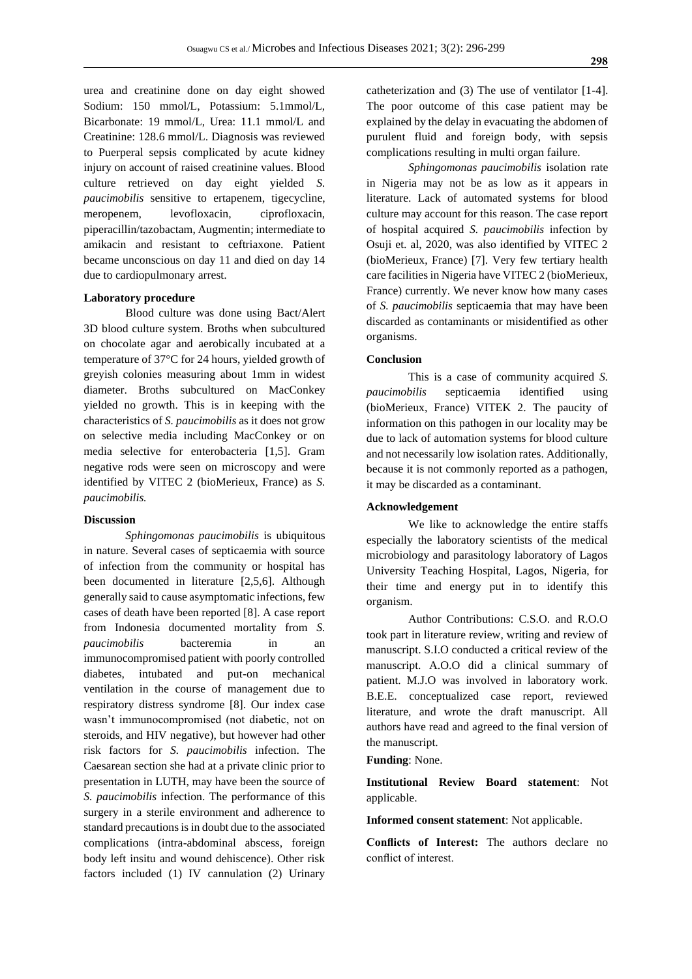urea and creatinine done on day eight showed Sodium: 150 mmol/L, Potassium: 5.1mmol/L, Bicarbonate: 19 mmol/L, Urea: 11.1 mmol/L and Creatinine: 128.6 mmol/L. Diagnosis was reviewed to Puerperal sepsis complicated by acute kidney injury on account of raised creatinine values. Blood culture retrieved on day eight yielded *S. paucimobilis* sensitive to ertapenem, tigecycline, meropenem, levofloxacin, ciprofloxacin, piperacillin/tazobactam, Augmentin; intermediate to amikacin and resistant to ceftriaxone. Patient became unconscious on day 11 and died on day 14 due to cardiopulmonary arrest.

#### **Laboratory procedure**

Blood culture was done using Bact/Alert 3D blood culture system. Broths when subcultured on chocolate agar and aerobically incubated at a temperature of 37°C for 24 hours, yielded growth of greyish colonies measuring about 1mm in widest diameter. Broths subcultured on MacConkey yielded no growth. This is in keeping with the characteristics of *S. paucimobilis* as it does not grow on selective media including MacConkey or on media selective for enterobacteria [1,5]. Gram negative rods were seen on microscopy and were identified by VITEC 2 (bioMerieux, France) as *S. paucimobilis.* 

#### **Discussion**

*Sphingomonas paucimobilis* is ubiquitous in nature. Several cases of septicaemia with source of infection from the community or hospital has been documented in literature [2,5,6]. Although generally said to cause asymptomatic infections, few cases of death have been reported [8]. A case report from Indonesia documented mortality from *S. paucimobilis* bacteremia in an immunocompromised patient with poorly controlled diabetes, intubated and put-on mechanical ventilation in the course of management due to respiratory distress syndrome [8]. Our index case wasn't immunocompromised (not diabetic, not on steroids, and HIV negative), but however had other risk factors for *S. paucimobilis* infection. The Caesarean section she had at a private clinic prior to presentation in LUTH, may have been the source of *S. paucimobilis* infection. The performance of this surgery in a sterile environment and adherence to standard precautions is in doubt due to the associated complications (intra-abdominal abscess, foreign body left insitu and wound dehiscence). Other risk factors included (1) IV cannulation (2) Urinary

catheterization and (3) The use of ventilator [1-4]. The poor outcome of this case patient may be explained by the delay in evacuating the abdomen of purulent fluid and foreign body, with sepsis complications resulting in multi organ failure.

*Sphingomonas paucimobilis* isolation rate in Nigeria may not be as low as it appears in literature. Lack of automated systems for blood culture may account for this reason. The case report of hospital acquired *S. paucimobilis* infection by Osuji et. al, 2020, was also identified by VITEC 2 (bioMerieux, France) [7]. Very few tertiary health care facilities in Nigeria have VITEC 2 (bioMerieux, France) currently. We never know how many cases of *S. paucimobilis* septicaemia that may have been discarded as contaminants or misidentified as other organisms.

#### **Conclusion**

This is a case of community acquired *S. paucimobilis* septicaemia identified using (bioMerieux, France) VITEK 2. The paucity of information on this pathogen in our locality may be due to lack of automation systems for blood culture and not necessarily low isolation rates. Additionally, because it is not commonly reported as a pathogen, it may be discarded as a contaminant.

#### **Acknowledgement**

We like to acknowledge the entire staffs especially the laboratory scientists of the medical microbiology and parasitology laboratory of Lagos University Teaching Hospital, Lagos, Nigeria, for their time and energy put in to identify this organism.

Author Contributions: C.S.O. and R.O.O took part in literature review, writing and review of manuscript. S.I.O conducted a critical review of the manuscript. A.O.O did a clinical summary of patient. M.J.O was involved in laboratory work. B.E.E. conceptualized case report, reviewed literature, and wrote the draft manuscript. All authors have read and agreed to the final version of the manuscript.

#### **Funding**: None.

**Institutional Review Board statement**: Not applicable.

**Informed consent statement**: Not applicable.

**Conflicts of Interest:** The authors declare no conflict of interest.